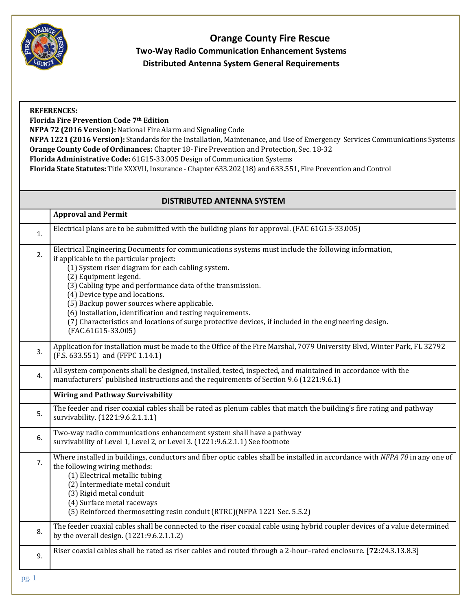

## **Orange County Fire Rescue Two-Way Radio Communication Enhancement Systems Distributed Antenna System General Requirements**

| <b>REFERENCES:</b><br>Florida Fire Prevention Code 7th Edition<br>NFPA 72 (2016 Version): National Fire Alarm and Signaling Code<br>NFPA 1221 (2016 Version): Standards for the Installation, Maintenance, and Use of Emergency Services Communications Systems<br>Orange County Code of Ordinances: Chapter 18- Fire Prevention and Protection, Sec. 18-32<br>Florida Administrative Code: 61G15-33.005 Design of Communication Systems<br>Florida State Statutes: Title XXXVII, Insurance - Chapter 633.202 (18) and 633.551, Fire Prevention and Control |                                                                                                                                                                                                                                                                                                                                                                                                                                                                                                                                                                          |  |
|-------------------------------------------------------------------------------------------------------------------------------------------------------------------------------------------------------------------------------------------------------------------------------------------------------------------------------------------------------------------------------------------------------------------------------------------------------------------------------------------------------------------------------------------------------------|--------------------------------------------------------------------------------------------------------------------------------------------------------------------------------------------------------------------------------------------------------------------------------------------------------------------------------------------------------------------------------------------------------------------------------------------------------------------------------------------------------------------------------------------------------------------------|--|
|                                                                                                                                                                                                                                                                                                                                                                                                                                                                                                                                                             | <b>DISTRIBUTED ANTENNA SYSTEM</b>                                                                                                                                                                                                                                                                                                                                                                                                                                                                                                                                        |  |
|                                                                                                                                                                                                                                                                                                                                                                                                                                                                                                                                                             | <b>Approval and Permit</b>                                                                                                                                                                                                                                                                                                                                                                                                                                                                                                                                               |  |
| 1.                                                                                                                                                                                                                                                                                                                                                                                                                                                                                                                                                          | Electrical plans are to be submitted with the building plans for approval. (FAC 61G15-33.005)                                                                                                                                                                                                                                                                                                                                                                                                                                                                            |  |
| 2.                                                                                                                                                                                                                                                                                                                                                                                                                                                                                                                                                          | Electrical Engineering Documents for communications systems must include the following information,<br>if applicable to the particular project:<br>(1) System riser diagram for each cabling system.<br>(2) Equipment legend.<br>(3) Cabling type and performance data of the transmission.<br>(4) Device type and locations.<br>(5) Backup power sources where applicable.<br>(6) Installation, identification and testing requirements.<br>(7) Characteristics and locations of surge protective devices, if included in the engineering design.<br>(FAC.61G15-33.005) |  |
| 3.                                                                                                                                                                                                                                                                                                                                                                                                                                                                                                                                                          | Application for installation must be made to the Office of the Fire Marshal, 7079 University Blvd, Winter Park, FL 32792<br>(F.S. 633.551) and (FFPC 1.14.1)                                                                                                                                                                                                                                                                                                                                                                                                             |  |
| 4.                                                                                                                                                                                                                                                                                                                                                                                                                                                                                                                                                          | All system components shall be designed, installed, tested, inspected, and maintained in accordance with the<br>manufacturers' published instructions and the requirements of Section 9.6 (1221:9.6.1)                                                                                                                                                                                                                                                                                                                                                                   |  |
|                                                                                                                                                                                                                                                                                                                                                                                                                                                                                                                                                             | <b>Wiring and Pathway Survivability</b>                                                                                                                                                                                                                                                                                                                                                                                                                                                                                                                                  |  |
| 5.                                                                                                                                                                                                                                                                                                                                                                                                                                                                                                                                                          | The feeder and riser coaxial cables shall be rated as plenum cables that match the building's fire rating and pathway<br>survivability. (1221:9.6.2.1.1.1)                                                                                                                                                                                                                                                                                                                                                                                                               |  |
| 6.                                                                                                                                                                                                                                                                                                                                                                                                                                                                                                                                                          | Two-way radio communications enhancement system shall have a pathway<br>survivability of Level 1, Level 2, or Level 3. (1221:9.6.2.1.1) See footnote                                                                                                                                                                                                                                                                                                                                                                                                                     |  |
| 7.                                                                                                                                                                                                                                                                                                                                                                                                                                                                                                                                                          | Where installed in buildings, conductors and fiber optic cables shall be installed in accordance with NFPA 70 in any one of<br>the following wiring methods:<br>(1) Electrical metallic tubing<br>(2) Intermediate metal conduit<br>(3) Rigid metal conduit<br>(4) Surface metal raceways<br>(5) Reinforced thermosetting resin conduit (RTRC)(NFPA 1221 Sec. 5.5.2)                                                                                                                                                                                                     |  |
| 8.                                                                                                                                                                                                                                                                                                                                                                                                                                                                                                                                                          | The feeder coaxial cables shall be connected to the riser coaxial cable using hybrid coupler devices of a value determined<br>by the overall design. (1221:9.6.2.1.1.2)                                                                                                                                                                                                                                                                                                                                                                                                  |  |
| 9.                                                                                                                                                                                                                                                                                                                                                                                                                                                                                                                                                          | Riser coaxial cables shall be rated as riser cables and routed through a 2-hour-rated enclosure. [72:24.3.13.8.3]                                                                                                                                                                                                                                                                                                                                                                                                                                                        |  |
| pg.1                                                                                                                                                                                                                                                                                                                                                                                                                                                                                                                                                        |                                                                                                                                                                                                                                                                                                                                                                                                                                                                                                                                                                          |  |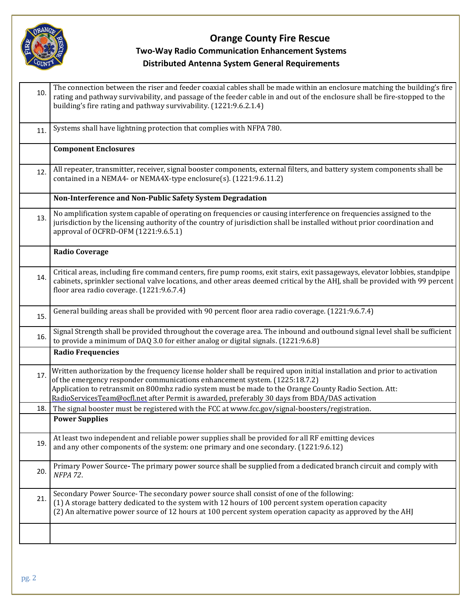

### **Orange County Fire Rescue Two-Way Radio Communication Enhancement Systems Distributed Antenna System General Requirements**

| 10. | The connection between the riser and feeder coaxial cables shall be made within an enclosure matching the building's fire<br>rating and pathway survivability, and passage of the feeder cable in and out of the enclosure shall be fire-stopped to the<br>building's fire rating and pathway survivability. (1221:9.6.2.1.4)                                                                                        |
|-----|----------------------------------------------------------------------------------------------------------------------------------------------------------------------------------------------------------------------------------------------------------------------------------------------------------------------------------------------------------------------------------------------------------------------|
| 11. | Systems shall have lightning protection that complies with NFPA 780.                                                                                                                                                                                                                                                                                                                                                 |
|     | <b>Component Enclosures</b>                                                                                                                                                                                                                                                                                                                                                                                          |
| 12. | All repeater, transmitter, receiver, signal booster components, external filters, and battery system components shall be<br>contained in a NEMA4- or NEMA4X-type enclosure(s). (1221:9.6.11.2)                                                                                                                                                                                                                       |
|     | Non-Interference and Non-Public Safety System Degradation                                                                                                                                                                                                                                                                                                                                                            |
| 13. | No amplification system capable of operating on frequencies or causing interference on frequencies assigned to the<br>jurisdiction by the licensing authority of the country of jurisdiction shall be installed without prior coordination and<br>approval of OCFRD-OFM (1221:9.6.5.1)                                                                                                                               |
|     | <b>Radio Coverage</b>                                                                                                                                                                                                                                                                                                                                                                                                |
| 14. | Critical areas, including fire command centers, fire pump rooms, exit stairs, exit passageways, elevator lobbies, standpipe<br>cabinets, sprinkler sectional valve locations, and other areas deemed critical by the AHJ, shall be provided with 99 percent<br>floor area radio coverage. (1221:9.6.7.4)                                                                                                             |
| 15. | General building areas shall be provided with 90 percent floor area radio coverage. (1221:9.6.7.4)                                                                                                                                                                                                                                                                                                                   |
| 16. | Signal Strength shall be provided throughout the coverage area. The inbound and outbound signal level shall be sufficient<br>to provide a minimum of DAQ 3.0 for either analog or digital signals. (1221:9.6.8)                                                                                                                                                                                                      |
|     | <b>Radio Frequencies</b>                                                                                                                                                                                                                                                                                                                                                                                             |
| 17. | Written authorization by the frequency license holder shall be required upon initial installation and prior to activation<br>of the emergency responder communications enhancement system. (1225:18.7.2)<br>Application to retransmit on 800mhz radio system must be made to the Orange County Radio Section. Att:<br>RadioServicesTeam@ocfl.net after Permit is awarded, preferably 30 days from BDA/DAS activation |
| 18. | The signal booster must be registered with the FCC at www.fcc.gov/signal-boosters/registration.                                                                                                                                                                                                                                                                                                                      |
|     | <b>Power Supplies</b>                                                                                                                                                                                                                                                                                                                                                                                                |
| 19. | At least two independent and reliable power supplies shall be provided for all RF emitting devices<br>and any other components of the system: one primary and one secondary. (1221:9.6.12)                                                                                                                                                                                                                           |
| 20. | Primary Power Source-The primary power source shall be supplied from a dedicated branch circuit and comply with<br>NFPA 72.                                                                                                                                                                                                                                                                                          |
| 21. | Secondary Power Source-The secondary power source shall consist of one of the following:<br>(1) A storage battery dedicated to the system with 12 hours of 100 percent system operation capacity<br>(2) An alternative power source of 12 hours at 100 percent system operation capacity as approved by the AHJ                                                                                                      |
|     |                                                                                                                                                                                                                                                                                                                                                                                                                      |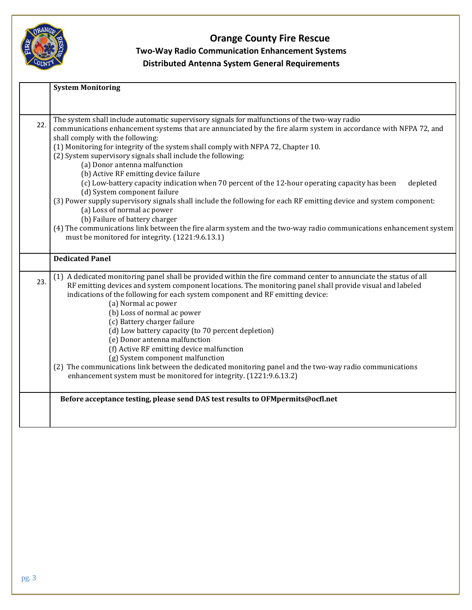

# **Orange County Fire Rescue Two-Way Radio Communication Enhancement Systems Distributed Antenna System General Requirements**

|     | <b>System Monitoring</b>                                                                                                                                                                                                                                                                                                                                                                                                                                                                                                                                                                                                                                                                                                                                                                                                                                                                                                                                                                         |
|-----|--------------------------------------------------------------------------------------------------------------------------------------------------------------------------------------------------------------------------------------------------------------------------------------------------------------------------------------------------------------------------------------------------------------------------------------------------------------------------------------------------------------------------------------------------------------------------------------------------------------------------------------------------------------------------------------------------------------------------------------------------------------------------------------------------------------------------------------------------------------------------------------------------------------------------------------------------------------------------------------------------|
|     |                                                                                                                                                                                                                                                                                                                                                                                                                                                                                                                                                                                                                                                                                                                                                                                                                                                                                                                                                                                                  |
| 22. | The system shall include automatic supervisory signals for malfunctions of the two-way radio<br>communications enhancement systems that are annunciated by the fire alarm system in accordance with NFPA 72, and<br>shall comply with the following:<br>(1) Monitoring for integrity of the system shall comply with NFPA 72, Chapter 10.<br>(2) System supervisory signals shall include the following:<br>(a) Donor antenna malfunction<br>(b) Active RF emitting device failure<br>(c) Low-battery capacity indication when 70 percent of the 12-hour operating capacity has been<br>depleted<br>(d) System component failure<br>(3) Power supply supervisory signals shall include the following for each RF emitting device and system component:<br>(a) Loss of normal ac power<br>(b) Failure of battery charger<br>(4) The communications link between the fire alarm system and the two-way radio communications enhancement system<br>must be monitored for integrity. (1221:9.6.13.1) |
|     | <b>Dedicated Panel</b>                                                                                                                                                                                                                                                                                                                                                                                                                                                                                                                                                                                                                                                                                                                                                                                                                                                                                                                                                                           |
| 23. | (1) A dedicated monitoring panel shall be provided within the fire command center to annunciate the status of all<br>RF emitting devices and system component locations. The monitoring panel shall provide visual and labeled<br>indications of the following for each system component and RF emitting device:<br>(a) Normal ac power<br>(b) Loss of normal ac power<br>(c) Battery charger failure<br>(d) Low battery capacity (to 70 percent depletion)<br>(e) Donor antenna malfunction<br>(f) Active RF emitting device malfunction<br>(g) System component malfunction<br>(2) The communications link between the dedicated monitoring panel and the two-way radio communications<br>enhancement system must be monitored for integrity. (1221:9.6.13.2)                                                                                                                                                                                                                                  |
|     | Before acceptance testing, please send DAS test results to OFMpermits@ocfl.net                                                                                                                                                                                                                                                                                                                                                                                                                                                                                                                                                                                                                                                                                                                                                                                                                                                                                                                   |